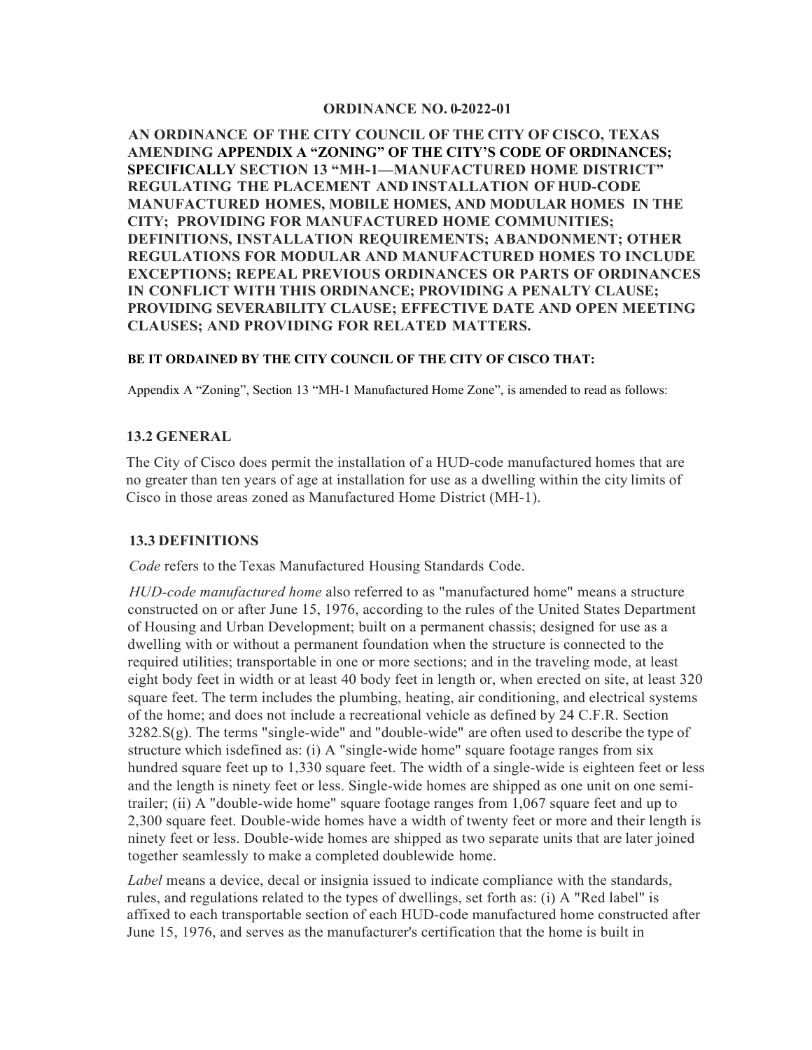#### **ORDINANCE NO. 0-2022-01**

**AN ORDINANCE OF THE CITY COUNCIL OF THE CITY OF CISCO, TEXAS AMENDING APPENDIX A "ZONING" OF THE CITY'S CODE OF ORDINANCES; SPECIFICALLY SECTION 13 "MH-1—MANUFACTURED HOME DISTRICT" REGULATING THE PLACEMENT AND INSTALLATION OF HUD-CODE MANUFACTURED HOMES, MOBILE HOMES, AND MODULAR HOMES IN THE CITY; PROVIDING FOR MANUFACTURED HOME COMMUNITIES; DEFINITIONS, INSTALLATION REQUIREMENTS; ABANDONMENT; OTHER REGULATIONS FOR MODULAR AND MANUFACTURED HOMES TO INCLUDE EXCEPTIONS; REPEAL PREVIOUS ORDINANCES OR PARTS OF ORDINANCES IN CONFLICT WITH THIS ORDINANCE; PROVIDING A PENALTY CLAUSE; PROVIDING SEVERABILITY CLAUSE; EFFECTIVE DATE AND OPEN MEETING CLAUSES; AND PROVIDING FOR RELATED MATTERS.**

#### **BE IT ORDAINED BY THE CITY COUNCIL OF THE CITY OF CISCO THAT:**

Appendix A "Zoning", Section 13 "MH-1 Manufactured Home Zone", is amended to read as follows:

### **13.2 GENERAL**

The City of Cisco does permit the installation of a HUD-code manufactured homes that are no greater than ten years of age at installation for use as a dwelling within the city limits of Cisco in those areas zoned as Manufactured Home District (MH-1).

#### **13.3 DEFINITIONS**

*Code* refers to the Texas Manufactured Housing Standards Code.

*HUD-code manufactured home* also referred to as "manufactured home" means a structure constructed on or after June 15, 1976, according to the rules of the United States Department of Housing and Urban Development; built on a permanent chassis; designed for use as a dwelling with or without a permanent foundation when the structure is connected to the required utilities; transportable in one or more sections; and in the traveling mode, at least eight body feet in width or at least 40 body feet in length or, when erected on site, at least 320 square feet. The term includes the plumbing, heating, air conditioning, and electrical systems of the home; and does not include a recreational vehicle as defined by 24 C.F.R. Section  $3282.S(g)$ . The terms "single-wide" and "double-wide" are often used to describe the type of structure which isdefined as: (i) A "single-wide home" square footage ranges from six hundred square feet up to 1,330 square feet. The width of a single-wide is eighteen feet or less and the length is ninety feet or less. Single-wide homes are shipped as one unit on one semitrailer; (ii) A "double-wide home" square footage ranges from 1,067 square feet and up to 2,300 square feet. Double-wide homes have a width of twenty feet or more and their length is ninety feet or less. Double-wide homes are shipped as two separate units that are later joined together seamlessly to make a completed doublewide home.

*Label* means a device, decal or insignia issued to indicate compliance with the standards, rules, and regulations related to the types of dwellings, set forth as: (i) A "Red label" is affixed to each transportable section of each HUD-code manufactured home constructed after June 15, 1976, and serves as the manufacturer's certification that the home is built in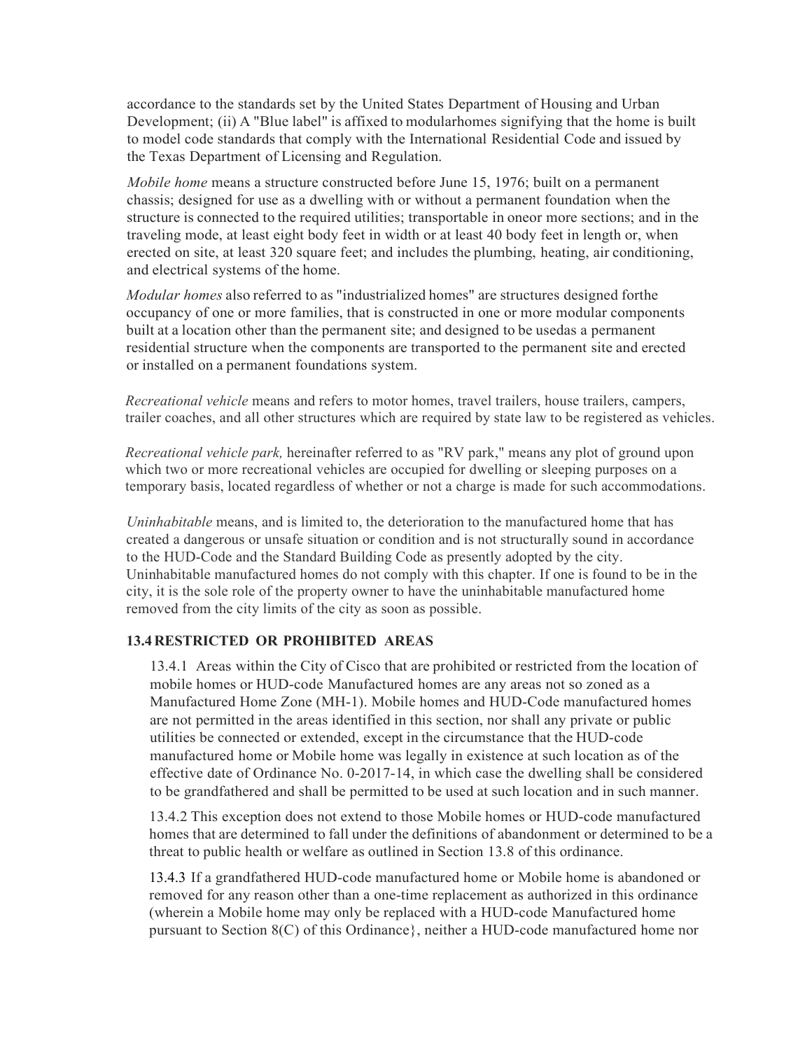accordance to the standards set by the United States Department of Housing and Urban Development; (ii) A "Blue label" is affixed to modularhomes signifying that the home is built to model code standards that comply with the International Residential Code and issued by the Texas Department of Licensing and Regulation.

*Mobile home* means a structure constructed before June 15, 1976; built on a permanent chassis; designed for use as a dwelling with or without a permanent foundation when the structure is connected to the required utilities; transportable in oneor more sections; and in the traveling mode, at least eight body feet in width or at least 40 body feet in length or, when erected on site, at least 320 square feet; and includes the plumbing, heating, air conditioning, and electrical systems of the home.

*Modular homes* also referred to as "industrialized homes" are structures designed forthe occupancy of one or more families, that is constructed in one or more modular components built at a location other than the permanent site; and designed to be usedas a permanent residential structure when the components are transported to the permanent site and erected or installed on a permanent foundations system.

*Recreational vehicle* means and refers to motor homes, travel trailers, house trailers, campers, trailer coaches, and all other structures which are required by state law to be registered as vehicles.

*Recreational vehicle park,* hereinafter referred to as "RV park," means any plot of ground upon which two or more recreational vehicles are occupied for dwelling or sleeping purposes on a temporary basis, located regardless of whether or not a charge is made for such accommodations.

*Uninhabitable* means, and is limited to, the deterioration to the manufactured home that has created a dangerous or unsafe situation or condition and is not structurally sound in accordance to the HUD-Code and the Standard Building Code as presently adopted by the city. Uninhabitable manufactured homes do not comply with this chapter. If one is found to be in the city, it is the sole role of the property owner to have the uninhabitable manufactured home removed from the city limits of the city as soon as possible.

### **13.4 RESTRICTED OR PROHIBITED AREAS**

13.4.1 Areas within the City of Cisco that are prohibited or restricted from the location of mobile homes or HUD-code Manufactured homes are any areas not so zoned as a Manufactured Home Zone (MH-1). Mobile homes and HUD-Code manufactured homes are not permitted in the areas identified in this section, nor shall any private or public utilities be connected or extended, except in the circumstance that the HUD-code manufactured home or Mobile home was legally in existence at such location as of the effective date of Ordinance No. 0-2017-14, in which case the dwelling shall be considered to be grandfathered and shall be permitted to be used at such location and in such manner.

13.4.2 This exception does not extend to those Mobile homes or HUD-code manufactured homes that are determined to fall under the definitions of abandonment or determined to be a threat to public health or welfare as outlined in Section 13.8 of this ordinance.

13.4.3 If a grandfathered HUD-code manufactured home or Mobile home is abandoned or removed for any reason other than a one-time replacement as authorized in this ordinance (wherein a Mobile home may only be replaced with a HUD-code Manufactured home pursuant to Section 8(C) of this Ordinance}, neither a HUD-code manufactured home nor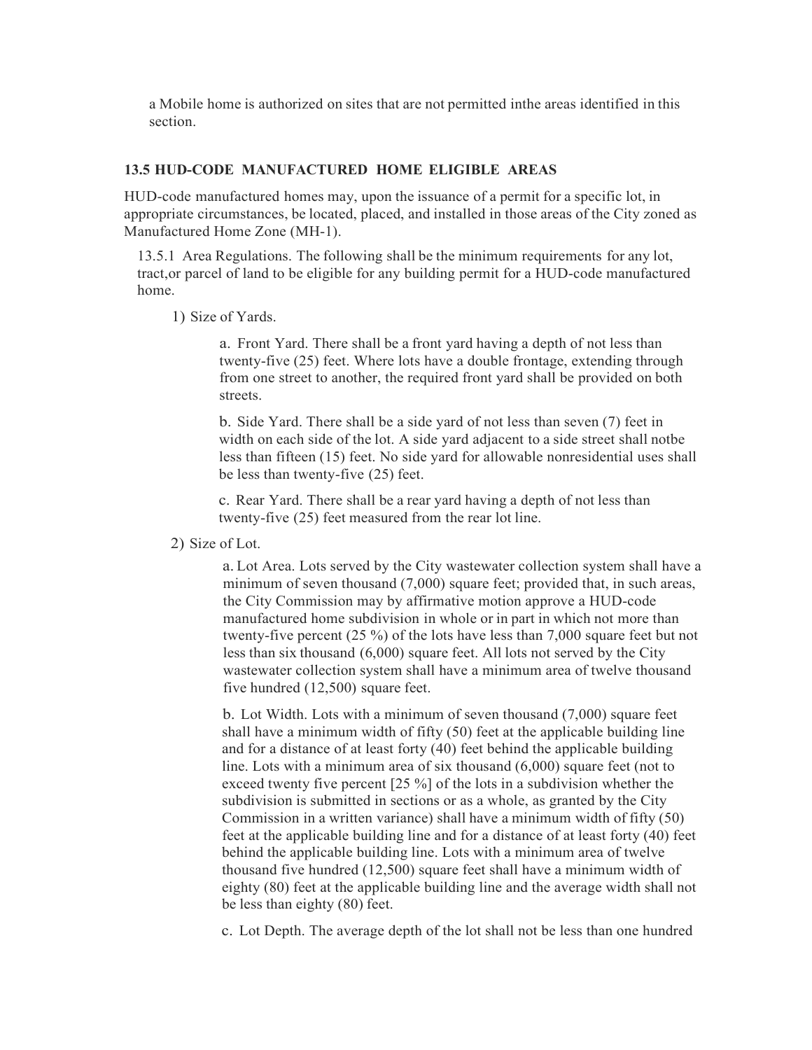a Mobile home is authorized on sites that are not permitted inthe areas identified in this section.

### **13.5 HUD-CODE MANUFACTURED HOME ELIGIBLE AREAS**

HUD-code manufactured homes may, upon the issuance of a permit for a specific lot, in appropriate circumstances, be located, placed, and installed in those areas of the City zoned as Manufactured Home Zone (MH-1).

13.5.1 Area Regulations. The following shall be the minimum requirements for any lot, tract,or parcel of land to be eligible for any building permit for a HUD-code manufactured home.

1) Size of Yards.

a. Front Yard. There shall be a front yard having a depth of not less than twenty-five (25) feet. Where lots have a double frontage, extending through from one street to another, the required front yard shall be provided on both streets.

b. Side Yard. There shall be a side yard of not less than seven (7) feet in width on each side of the lot. A side yard adjacent to a side street shall notbe less than fifteen (15) feet. No side yard for allowable nonresidential uses shall be less than twenty-five (25) feet.

c. Rear Yard. There shall be a rear yard having a depth of not less than twenty-five (25) feet measured from the rear lot line.

2) Size of Lot.

a. Lot Area. Lots served by the City wastewater collection system shall have a minimum of seven thousand (7,000) square feet; provided that, in such areas, the City Commission may by affirmative motion approve a HUD-code manufactured home subdivision in whole or in part in which not more than twenty-five percent (25 %) of the lots have less than 7,000 square feet but not less than six thousand (6,000) square feet. All lots not served by the City wastewater collection system shall have a minimum area of twelve thousand five hundred (12,500) square feet.

b. Lot Width. Lots with a minimum of seven thousand (7,000) square feet shall have a minimum width of fifty (50) feet at the applicable building line and for a distance of at least forty (40) feet behind the applicable building line. Lots with a minimum area of six thousand (6,000) square feet (not to exceed twenty five percent [25 %] of the lots in a subdivision whether the subdivision is submitted in sections or as a whole, as granted by the City Commission in a written variance) shall have a minimum width of fifty (50) feet at the applicable building line and for a distance of at least forty (40) feet behind the applicable building line. Lots with a minimum area of twelve thousand five hundred (12,500) square feet shall have a minimum width of eighty (80) feet at the applicable building line and the average width shall not be less than eighty (80) feet.

c. Lot Depth. The average depth of the lot shall not be less than one hundred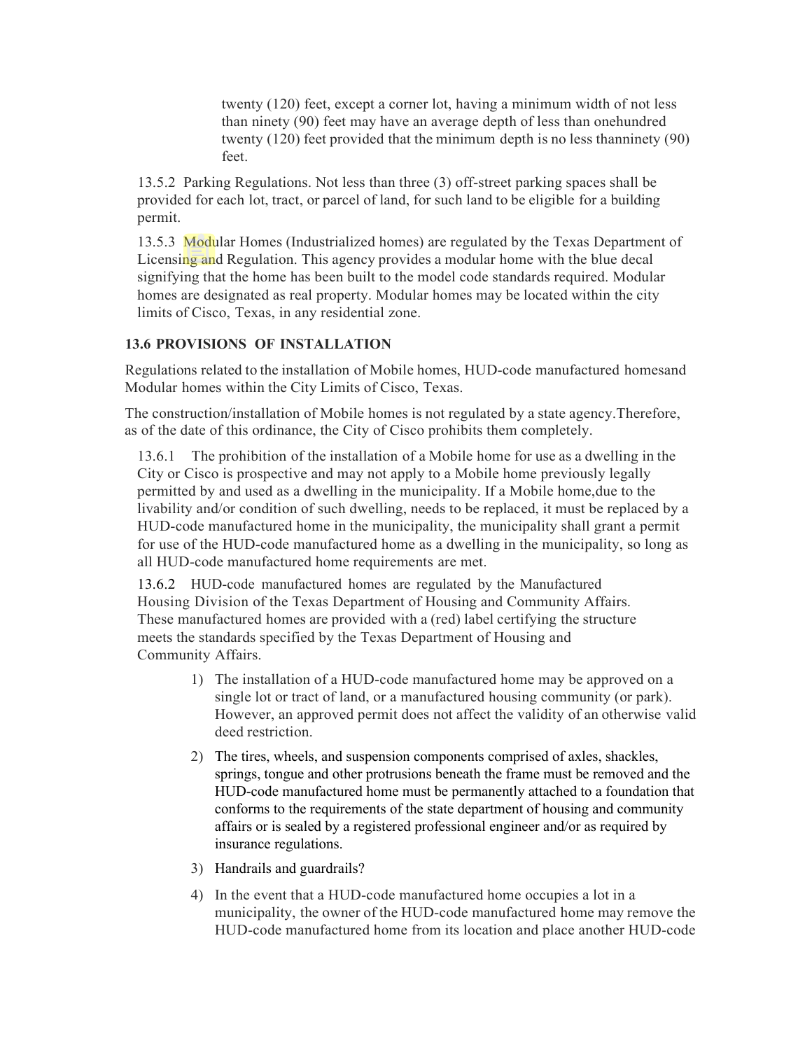twenty (120) feet, except a corner lot, having a minimum width of not less than ninety (90) feet may have an average depth of less than onehundred twenty (120) feet provided that the minimum depth is no less thanninety (90) feet.

13.5.2 Parking Regulations. Not less than three (3) off-street parking spaces shall be provided for each lot, tract, or parcel of land, for such land to be eligible for a building permit.

13.5.3 Modular Homes (Industrialized homes) are regulated by the Texas Department of Licensing and Regulation. This agency provides a modular home with the blue decal signifying that the home has been built to the model code standards required. Modular homes are designated as real property. Modular homes may be located within the city limits of Cisco, Texas, in any residential zone.

# **13.6 PROVISIONS OF INSTALLATION**

Regulations related to the installation of Mobile homes, HUD-code manufactured homesand Modular homes within the City Limits of Cisco, Texas.

The construction/installation of Mobile homes is not regulated by a state agency.Therefore, as of the date of this ordinance, the City of Cisco prohibits them completely.

13.6.1 The prohibition of the installation of a Mobile home for use as a dwelling in the City or Cisco is prospective and may not apply to a Mobile home previously legally permitted by and used as a dwelling in the municipality. If a Mobile home,due to the livability and/or condition of such dwelling, needs to be replaced, it must be replaced by a HUD-code manufactured home in the municipality, the municipality shall grant a permit for use of the HUD-code manufactured home as a dwelling in the municipality, so long as all HUD-code manufactured home requirements are met.

13.6.2 HUD-code manufactured homes are regulated by the Manufactured Housing Division of the Texas Department of Housing and Community Affairs. These manufactured homes are provided with a (red) label certifying the structure meets the standards specified by the Texas Department of Housing and Community Affairs.

- 1) The installation of a HUD-code manufactured home may be approved on a single lot or tract of land, or a manufactured housing community (or park). However, an approved permit does not affect the validity of an otherwise valid deed restriction.
- 2) The tires, wheels, and suspension components comprised of axles, shackles, springs, tongue and other protrusions beneath the frame must be removed and the HUD-code manufactured home must be permanently attached to a foundation that conforms to the requirements of the state department of housing and community affairs or is sealed by a registered professional engineer and/or as required by insurance regulations.
- 3) Handrails and guardrails?
- 4) In the event that a HUD-code manufactured home occupies a lot in a municipality, the owner of the HUD-code manufactured home may remove the HUD-code manufactured home from its location and place another HUD-code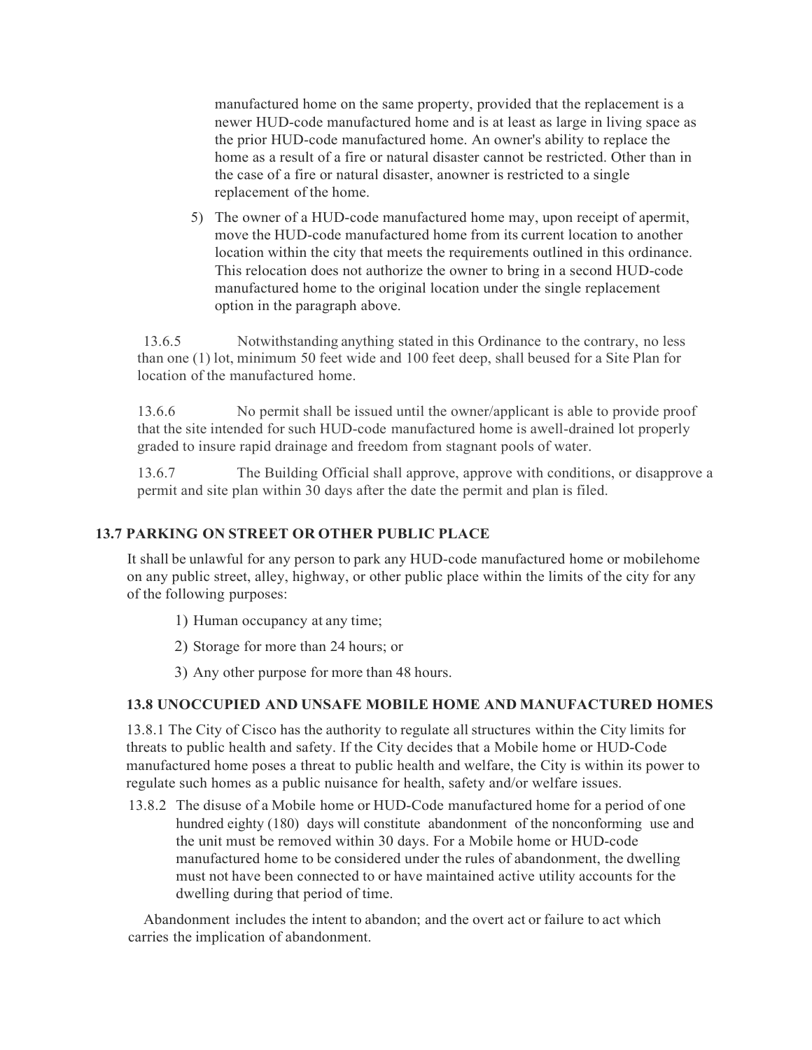manufactured home on the same property, provided that the replacement is a newer HUD-code manufactured home and is at least as large in living space as the prior HUD-code manufactured home. An owner's ability to replace the home as a result of a fire or natural disaster cannot be restricted. Other than in the case of a fire or natural disaster, anowner is restricted to a single replacement of the home.

5) The owner of a HUD-code manufactured home may, upon receipt of apermit, move the HUD-code manufactured home from its current location to another location within the city that meets the requirements outlined in this ordinance. This relocation does not authorize the owner to bring in a second HUD-code manufactured home to the original location under the single replacement option in the paragraph above.

13.6.5 Notwithstanding anything stated in this Ordinance to the contrary, no less than one (1) lot, minimum 50 feet wide and 100 feet deep, shall beused for a Site Plan for location of the manufactured home.

13.6.6 No permit shall be issued until the owner/applicant is able to provide proof that the site intended for such HUD-code manufactured home is awell-drained lot properly graded to insure rapid drainage and freedom from stagnant pools of water.

13.6.7 The Building Official shall approve, approve with conditions, or disapprove a permit and site plan within 30 days after the date the permit and plan is filed.

## **13.7 PARKING ON STREET OR OTHER PUBLIC PLACE**

It shall be unlawful for any person to park any HUD-code manufactured home or mobilehome on any public street, alley, highway, or other public place within the limits of the city for any of the following purposes:

- 1) Human occupancy at any time;
- 2) Storage for more than 24 hours; or
- 3) Any other purpose for more than 48 hours.

#### **13.8 UNOCCUPIED AND UNSAFE MOBILE HOME AND MANUFACTURED HOMES**

13.8.1 The City of Cisco has the authority to regulate all structures within the City limits for threats to public health and safety. If the City decides that a Mobile home or HUD-Code manufactured home poses a threat to public health and welfare, the City is within its power to regulate such homes as a public nuisance for health, safety and/or welfare issues.

13.8.2 The disuse of a Mobile home or HUD-Code manufactured home for a period of one hundred eighty (180) days will constitute abandonment of the nonconforming use and the unit must be removed within 30 days. For a Mobile home or HUD-code manufactured home to be considered under the rules of abandonment, the dwelling must not have been connected to or have maintained active utility accounts for the dwelling during that period of time.

Abandonment includes the intent to abandon; and the overt act or failure to act which carries the implication of abandonment.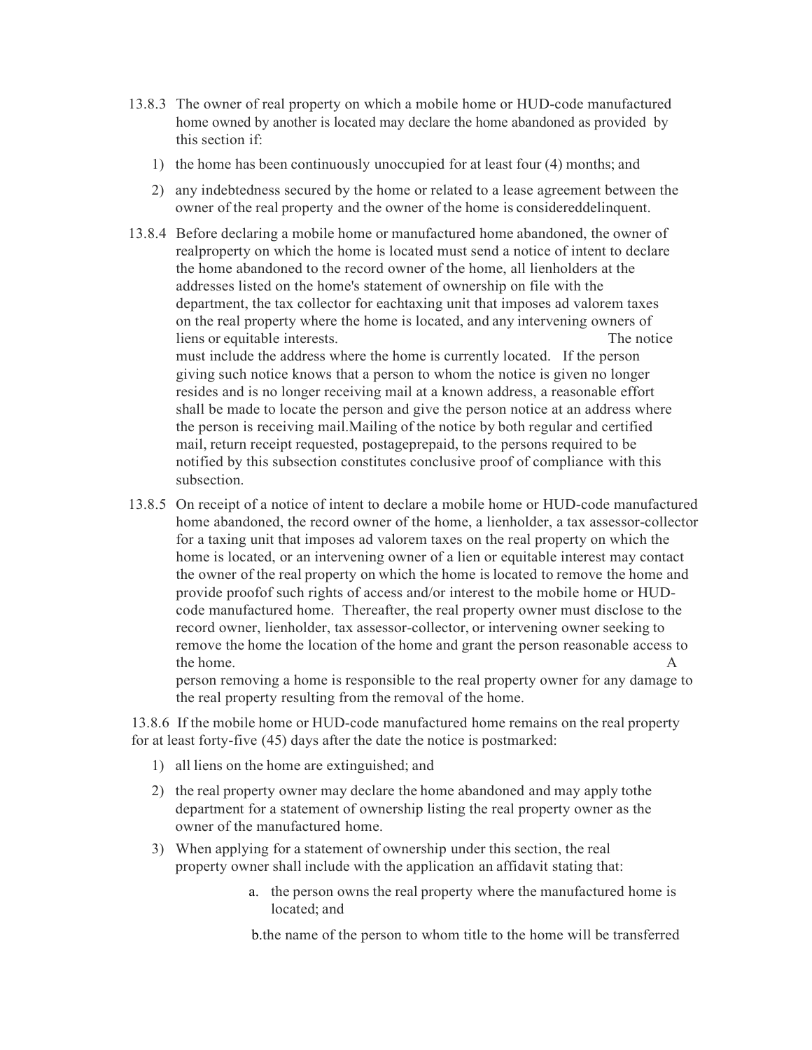- 13.8.3 The owner of real property on which a mobile home or HUD-code manufactured home owned by another is located may declare the home abandoned as provided by this section if:
	- 1) the home has been continuously unoccupied for at least four (4) months; and
	- 2) any indebtedness secured by the home or related to a lease agreement between the owner of the real property and the owner of the home is considereddelinquent.
- 13.8.4 Before declaring a mobile home or manufactured home abandoned, the owner of realproperty on which the home is located must send a notice of intent to declare the home abandoned to the record owner of the home, all lienholders at the addresses listed on the home's statement of ownership on file with the department, the tax collector for eachtaxing unit that imposes ad valorem taxes on the real property where the home is located, and any intervening owners of liens or equitable interests. The notice must include the address where the home is currently located. If the person giving such notice knows that a person to whom the notice is given no longer resides and is no longer receiving mail at a known address, a reasonable effort shall be made to locate the person and give the person notice at an address where the person is receiving mail.Mailing of the notice by both regular and certified mail, return receipt requested, postageprepaid, to the persons required to be notified by this subsection constitutes conclusive proof of compliance with this subsection.
- 13.8.5 On receipt of a notice of intent to declare a mobile home or HUD-code manufactured home abandoned, the record owner of the home, a lienholder, a tax assessor-collector for a taxing unit that imposes ad valorem taxes on the real property on which the home is located, or an intervening owner of a lien or equitable interest may contact the owner of the real property on which the home is located to remove the home and provide proofof such rights of access and/or interest to the mobile home or HUDcode manufactured home. Thereafter, the real property owner must disclose to the record owner, lienholder, tax assessor-collector, or intervening owner seeking to remove the home the location of the home and grant the person reasonable access to the home. A set of the home of  $A$

person removing a home is responsible to the real property owner for any damage to the real property resulting from the removal of the home.

13.8.6 If the mobile home or HUD-code manufactured home remains on the real property for at least forty-five (45) days after the date the notice is postmarked:

- 1) all liens on the home are extinguished; and
- 2) the real property owner may declare the home abandoned and may apply tothe department for a statement of ownership listing the real property owner as the owner of the manufactured home.
- 3) When applying for a statement of ownership under this section, the real property owner shall include with the application an affidavit stating that:
	- a. the person owns the real property where the manufactured home is located; and

b.the name of the person to whom title to the home will be transferred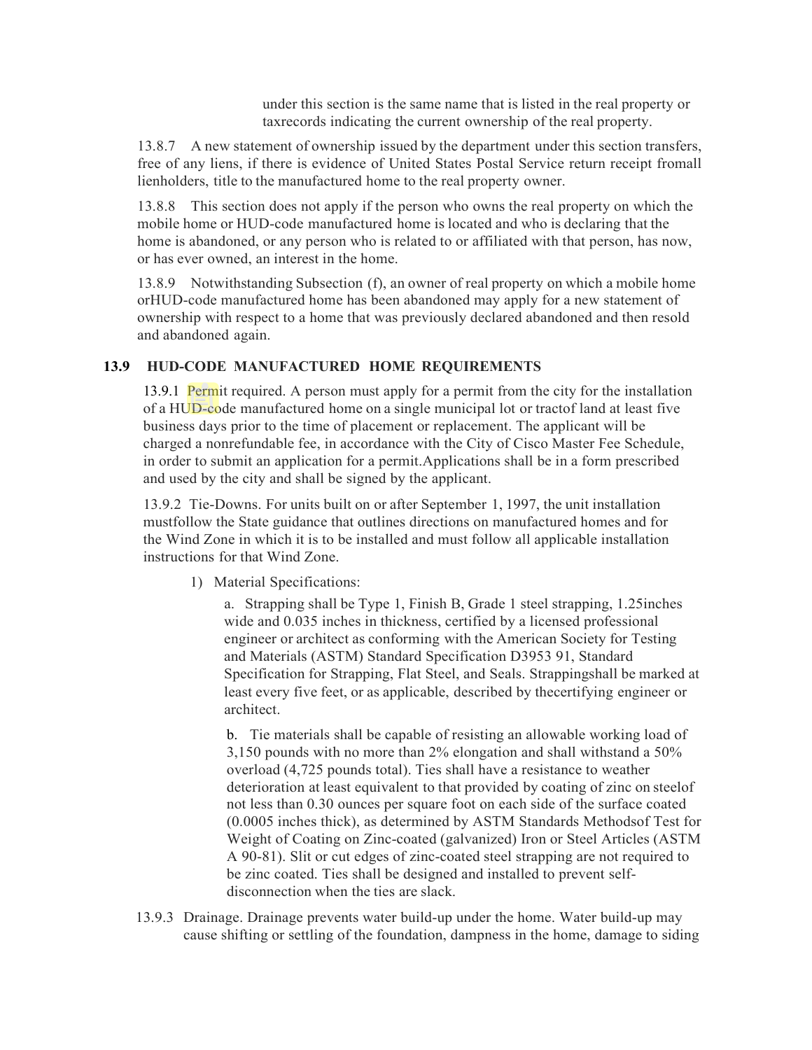under this section is the same name that is listed in the real property or taxrecords indicating the current ownership of the real property.

13.8.7 A new statement of ownership issued by the department under this section transfers, free of any liens, if there is evidence of United States Postal Service return receipt fromall lienholders, title to the manufactured home to the real property owner.

13.8.8 This section does not apply if the person who owns the real property on which the mobile home or HUD-code manufactured home is located and who is declaring that the home is abandoned, or any person who is related to or affiliated with that person, has now, or has ever owned, an interest in the home.

13.8.9 Notwithstanding Subsection (f), an owner of real property on which a mobile home orHUD-code manufactured home has been abandoned may apply for a new statement of ownership with respect to a home that was previously declared abandoned and then resold and abandoned again.

## **13.9 HUD-CODE MANUFACTURED HOME REQUIREMENTS**

13.9.1 Permit required. A person must apply for a permit from the city for the installation of a HUD-code manufactured home on a single municipal lot or tractof land at least five business days prior to the time of placement or replacement. The applicant will be charged a nonrefundable fee, in accordance with the City of Cisco Master Fee Schedule, in order to submit an application for a permit.Applications shall be in a form prescribed and used by the city and shall be signed by the applicant.

13.9.2 Tie-Downs. For units built on or after September 1, 1997, the unit installation mustfollow the State guidance that outlines directions on manufactured homes and for the Wind Zone in which it is to be installed and must follow all applicable installation instructions for that Wind Zone.

1) Material Specifications:

a. Strapping shall be Type 1, Finish B, Grade 1 steel strapping, 1.25inches wide and 0.035 inches in thickness, certified by a licensed professional engineer or architect as conforming with the American Society for Testing and Materials (ASTM) Standard Specification D3953 91, Standard Specification for Strapping, Flat Steel, and Seals. Strappingshall be marked at least every five feet, or as applicable, described by thecertifying engineer or architect.

b. Tie materials shall be capable of resisting an allowable working load of 3,150 pounds with no more than 2% elongation and shall withstand a 50% overload (4,725 pounds total). Ties shall have a resistance to weather deterioration at least equivalent to that provided by coating of zinc on steelof not less than 0.30 ounces per square foot on each side of the surface coated (0.0005 inches thick), as determined by ASTM Standards Methodsof Test for Weight of Coating on Zinc-coated (galvanized) Iron or Steel Articles (ASTM A 90-81). Slit or cut edges of zinc-coated steel strapping are not required to be zinc coated. Ties shall be designed and installed to prevent selfdisconnection when the ties are slack.

13.9.3 Drainage. Drainage prevents water build-up under the home. Water build-up may cause shifting or settling of the foundation, dampness in the home, damage to siding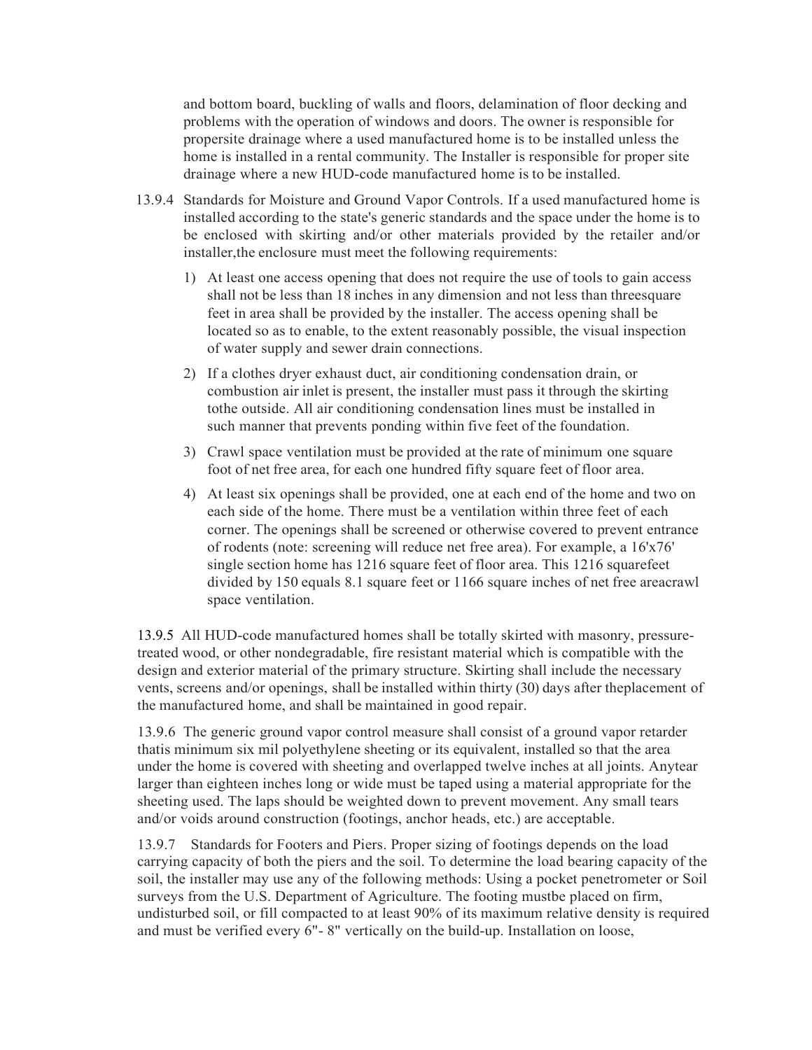and bottom board, buckling of walls and floors, delamination of floor decking and problems with the operation of windows and doors. The owner is responsible for propersite drainage where a used manufactured home is to be installed unless the home is installed in a rental community. The Installer is responsible for proper site drainage where a new HUD-code manufactured home is to be installed.

- 13.9.4 Standards for Moisture and Ground Vapor Controls. If a used manufactured home is installed according to the state's generic standards and the space under the home is to be enclosed with skirting and/or other materials provided by the retailer and/or installer,the enclosure must meet the following requirements:
	- 1) At least one access opening that does not require the use of tools to gain access shall not be less than 18 inches in any dimension and not less than threesquare feet in area shall be provided by the installer. The access opening shall be located so as to enable, to the extent reasonably possible, the visual inspection of water supply and sewer drain connections.
	- 2) If a clothes dryer exhaust duct, air conditioning condensation drain, or combustion air inlet is present, the installer must pass it through the skirting tothe outside. All air conditioning condensation lines must be installed in such manner that prevents ponding within five feet of the foundation.
	- 3) Crawl space ventilation must be provided at the rate of minimum one square foot of net free area, for each one hundred fifty square feet of floor area.
	- 4) At least six openings shall be provided, one at each end of the home and two on each side of the home. There must be a ventilation within three feet of each corner. The openings shall be screened or otherwise covered to prevent entrance of rodents (note: screening will reduce net free area). For example, a 16'x76' single section home has 1216 square feet of floor area. This 1216 squarefeet divided by 150 equals 8.1 square feet or 1166 square inches of net free areacrawl space ventilation.

13.9.5 All HUD-code manufactured homes shall be totally skirted with masonry, pressuretreated wood, or other nondegradable, fire resistant material which is compatible with the design and exterior material of the primary structure. Skirting shall include the necessary vents, screens and/or openings, shall be installed within thirty (30) days after theplacement of the manufactured home, and shall be maintained in good repair.

13.9.6 The generic ground vapor control measure shall consist of a ground vapor retarder thatis minimum six mil polyethylene sheeting or its equivalent, installed so that the area under the home is covered with sheeting and overlapped twelve inches at all joints. Anytear larger than eighteen inches long or wide must be taped using a material appropriate for the sheeting used. The laps should be weighted down to prevent movement. Any small tears and/or voids around construction (footings, anchor heads, etc.) are acceptable.

13.9.7 Standards for Footers and Piers. Proper sizing of footings depends on the load carrying capacity of both the piers and the soil. To determine the load bearing capacity of the soil, the installer may use any of the following methods: Using a pocket penetrometer or Soil surveys from the U.S. Department of Agriculture. The footing mustbe placed on firm, undisturbed soil, or fill compacted to at least 90% of its maximum relative density is required and must be verified every 6"- 8" vertically on the build-up. Installation on loose,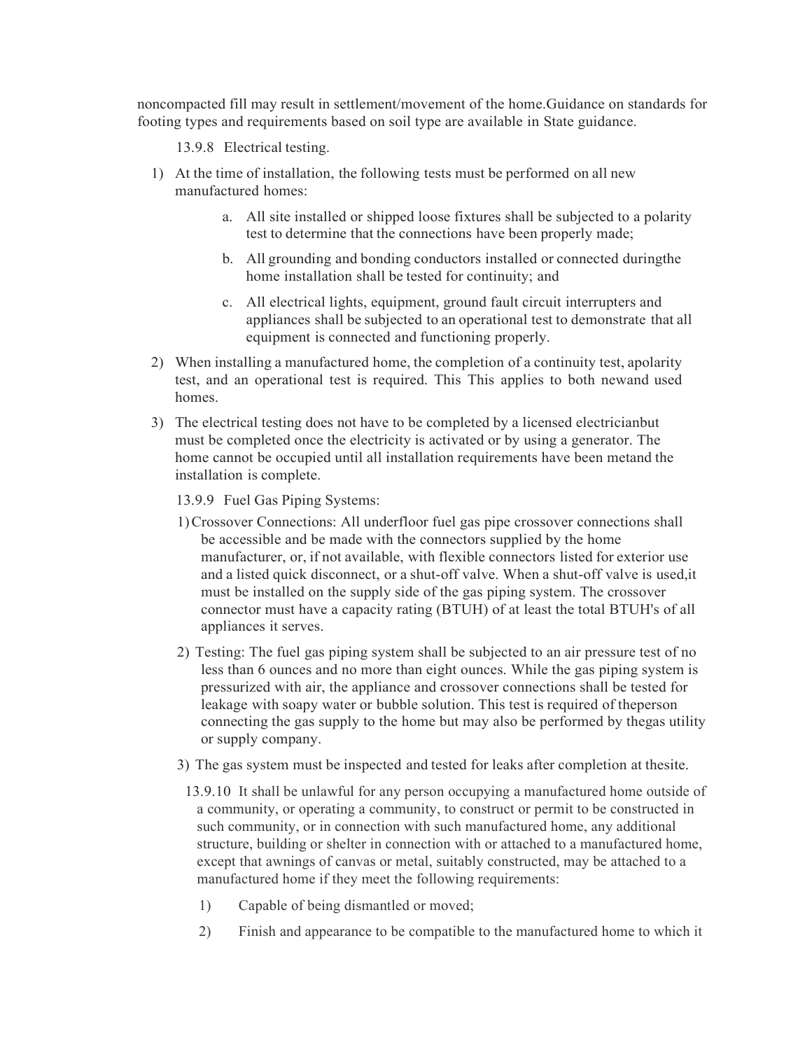noncompacted fill may result in settlement/movement of the home.Guidance on standards for footing types and requirements based on soil type are available in State guidance.

13.9.8 Electrical testing.

- 1) At the time of installation, the following tests must be performed on all new manufactured homes:
	- a. All site installed or shipped loose fixtures shall be subjected to a polarity test to determine that the connections have been properly made;
	- b. All grounding and bonding conductors installed or connected duringthe home installation shall be tested for continuity; and
	- c. All electrical lights, equipment, ground fault circuit interrupters and appliances shall be subjected to an operational test to demonstrate that all equipment is connected and functioning properly.
- 2) When installing a manufactured home, the completion of a continuity test, apolarity test, and an operational test is required. This This applies to both newand used homes.
- 3) The electrical testing does not have to be completed by a licensed electricianbut must be completed once the electricity is activated or by using a generator. The home cannot be occupied until all installation requirements have been metand the installation is complete.

13.9.9 Fuel Gas Piping Systems:

- 1)Crossover Connections: All underfloor fuel gas pipe crossover connections shall be accessible and be made with the connectors supplied by the home manufacturer, or, if not available, with flexible connectors listed for exterior use and a listed quick disconnect, or a shut-off valve. When a shut-off valve is used,it must be installed on the supply side of the gas piping system. The crossover connector must have a capacity rating (BTUH) of at least the total BTUH's of all appliances it serves.
- 2) Testing: The fuel gas piping system shall be subjected to an air pressure test of no less than 6 ounces and no more than eight ounces. While the gas piping system is pressurized with air, the appliance and crossover connections shall be tested for leakage with soapy water or bubble solution. This test is required of theperson connecting the gas supply to the home but may also be performed by thegas utility or supply company.
- 3) The gas system must be inspected and tested for leaks after completion at thesite.
	- 13.9.10 It shall be unlawful for any person occupying a manufactured home outside of a community, or operating a community, to construct or permit to be constructed in such community, or in connection with such manufactured home, any additional structure, building or shelter in connection with or attached to a manufactured home, except that awnings of canvas or metal, suitably constructed, may be attached to a manufactured home if they meet the following requirements:
		- 1) Capable of being dismantled or moved;
		- 2) Finish and appearance to be compatible to the manufactured home to which it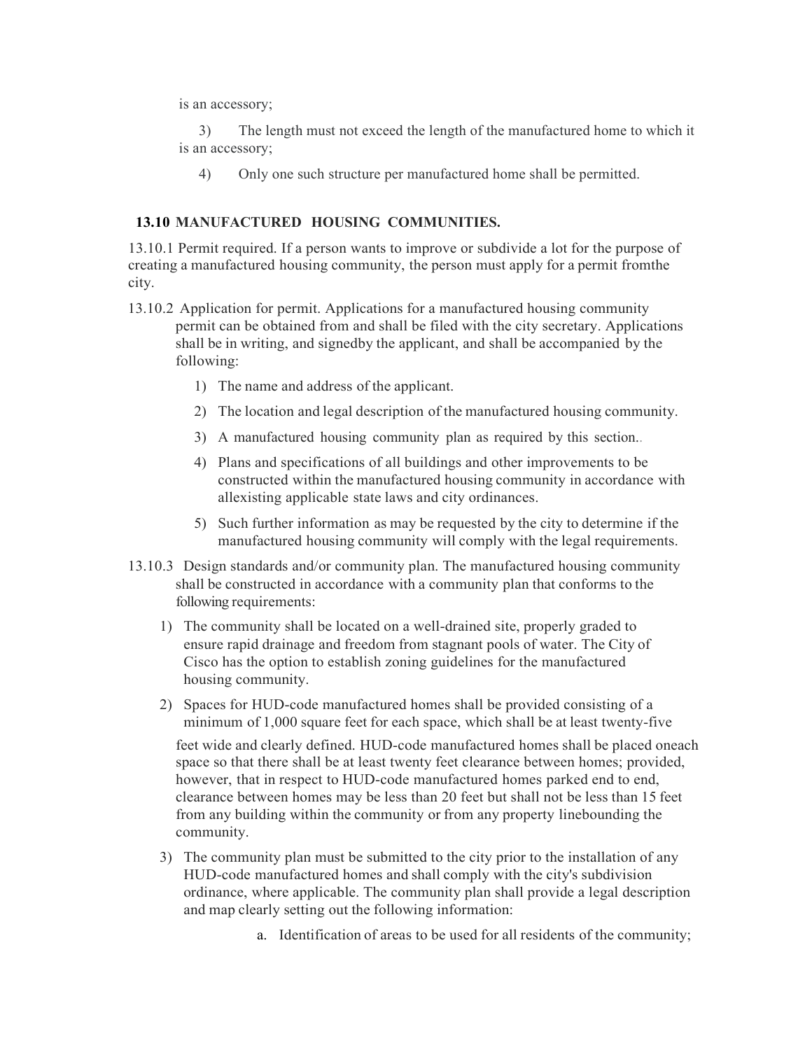is an accessory;

3) The length must not exceed the length of the manufactured home to which it is an accessory;

4) Only one such structure per manufactured home shall be permitted.

### **13.10 MANUFACTURED HOUSING COMMUNITIES.**

13.10.1 Permit required. If a person wants to improve or subdivide a lot for the purpose of creating a manufactured housing community, the person must apply for a permit fromthe city.

- 13.10.2 Application for permit. Applications for a manufactured housing community permit can be obtained from and shall be filed with the city secretary. Applications shall be in writing, and signedby the applicant, and shall be accompanied by the following:
	- 1) The name and address of the applicant.
	- 2) The location and legal description of the manufactured housing community.
	- 3) A manufactured housing community plan as required by this section..
	- 4) Plans and specifications of all buildings and other improvements to be constructed within the manufactured housing community in accordance with allexisting applicable state laws and city ordinances.
	- 5) Such further information as may be requested by the city to determine if the manufactured housing community will comply with the legal requirements.
- 13.10.3 Design standards and/or community plan. The manufactured housing community shall be constructed in accordance with a community plan that conforms to the following requirements:
	- 1) The community shall be located on a well-drained site, properly graded to ensure rapid drainage and freedom from stagnant pools of water. The City of Cisco has the option to establish zoning guidelines for the manufactured housing community.
	- 2) Spaces for HUD-code manufactured homes shall be provided consisting of a minimum of 1,000 square feet for each space, which shall be at least twenty-five

feet wide and clearly defined. HUD-code manufactured homes shall be placed oneach space so that there shall be at least twenty feet clearance between homes; provided, however, that in respect to HUD-code manufactured homes parked end to end, clearance between homes may be less than 20 feet but shall not be less than 15 feet from any building within the community or from any property linebounding the community.

- 3) The community plan must be submitted to the city prior to the installation of any HUD-code manufactured homes and shall comply with the city's subdivision ordinance, where applicable. The community plan shall provide a legal description and map clearly setting out the following information:
	- a. Identification of areas to be used for all residents of the community;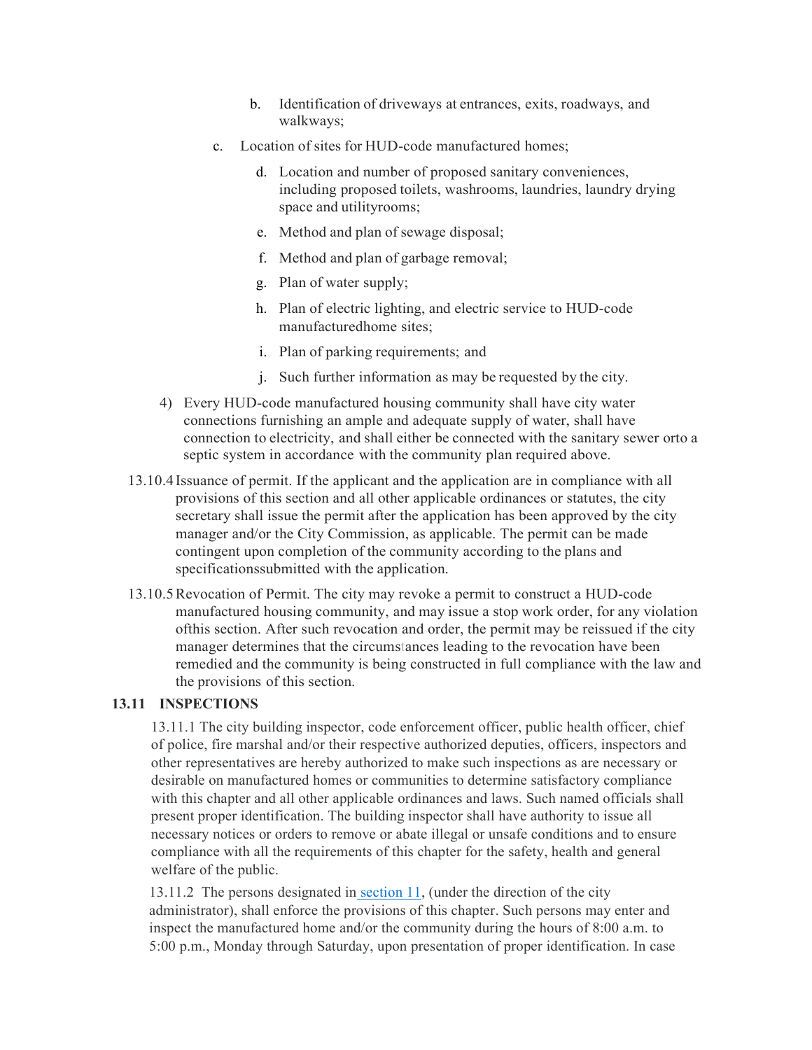- b. Identification of driveways at entrances, exits, roadways, and walkways;
- c. Location of sites for HUD-code manufactured homes;
	- d. Location and number of proposed sanitary conveniences, including proposed toilets, washrooms, laundries, laundry drying space and utilityrooms;
	- e. Method and plan of sewage disposal;
	- f. Method and plan of garbage removal;
	- g. Plan of water supply;
	- h. Plan of electric lighting, and electric service to HUD-code manufacturedhome sites;
	- i. Plan of parking requirements; and
	- j. Such further information as may be requested by the city.
- 4) Every HUD-code manufactured housing community shall have city water connections furnishing an ample and adequate supply of water, shall have connection to electricity, and shall either be connected with the sanitary sewer orto a septic system in accordance with the community plan required above.
- 13.10.4Issuance of permit. If the applicant and the application are in compliance with all provisions of this section and all other applicable ordinances or statutes, the city secretary shall issue the permit after the application has been approved by the city manager and/or the City Commission, as applicable. The permit can be made contingent upon completion of the community according to the plans and specificationssubmitted with the application.
- 13.10.5Revocation of Permit. The city may revoke a permit to construct a HUD-code manufactured housing community, and may issue a stop work order, for any violation ofthis section. After such revocation and order, the permit may be reissued if the city manager determines that the circumstances leading to the revocation have been remedied and the community is being constructed in full compliance with the law and the provisions of this section.

### **13.11 INSPECTIONS**

13.11.1 The city building inspector, code enforcement officer, public health officer, chief of police, fire marshal and/or their respective authorized deputies, officers, inspectors and other representatives are hereby authorized to make such inspections as are necessary or desirable on manufactured homes or communities to determine satisfactory compliance with this chapter and all other applicable ordinances and laws. Such named officials shall present proper identification. The building inspector shall have authority to issue all necessary notices or orders to remove or abate illegal or unsafe conditions and to ensure compliance with all the requirements of this chapter for the safety, health and general welfare of the public.

13.11.2 The persons designated in [section 11,](https://library.municode.com/tx/manvel/codes/code_of_ordinances?nodeId=PAIICOOR_CH38MAHO_S38-11IN) (under the direction of the city administrator), shall enforce the provisions of this chapter. Such persons may enter and inspect the manufactured home and/or the community during the hours of 8:00 a.m. to 5:00 p.m., Monday through Saturday, upon presentation of proper identification. In case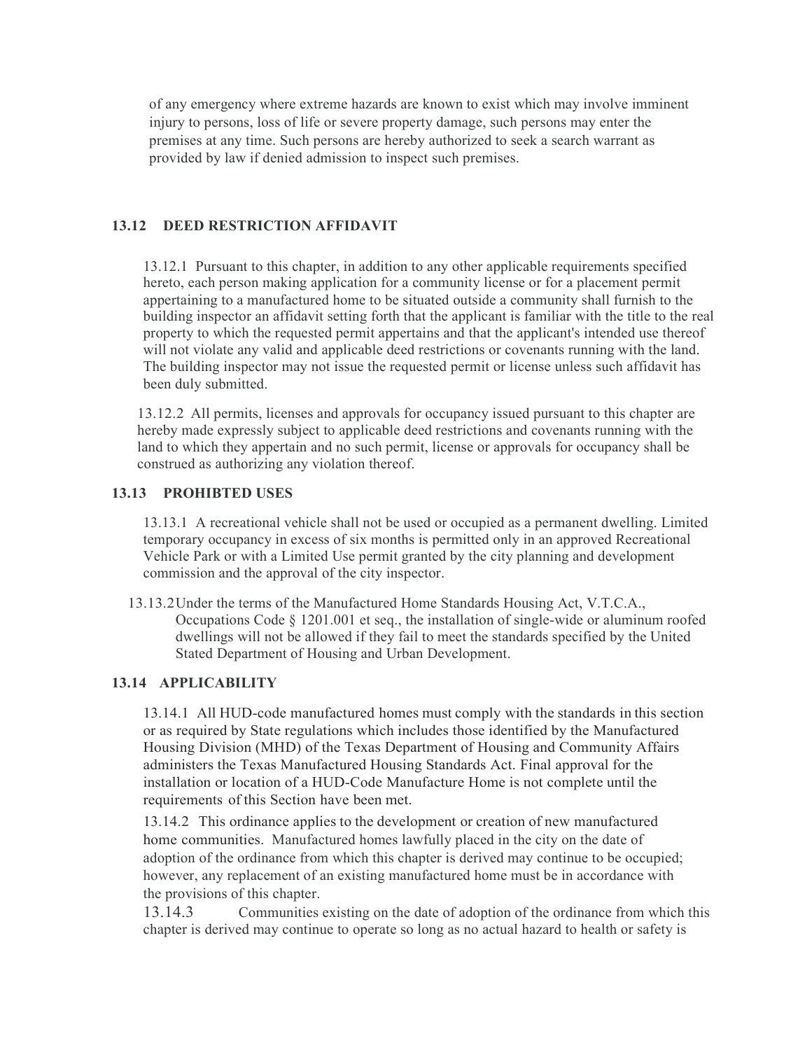of any emergency where extreme hazards are known to exist which may involve imminent injury to persons, loss of life or severe property damage, such persons may enter the premises at any time. Such persons are hereby authorized to seek a search warrant as provided by law if denied admission to inspect such premises.

## **13.12 DEED RESTRICTION AFFIDAVIT**

13.12.1 Pursuant to this chapter, in addition to any other applicable requirements specified hereto, each person making application for a community license or for a placement permit appertaining to a manufactured home to be situated outside a community shall furnish to the building inspector an affidavit setting forth that the applicant is familiar with the title to the real property to which the requested permit appertains and that the applicant's intended use thereof will not violate any valid and applicable deed restrictions or covenants running with the land. The building inspector may not issue the requested permit or license unless such affidavit has been duly submitted.

13.12.2 All permits, licenses and approvals for occupancy issued pursuant to this chapter are hereby made expressly subject to applicable deed restrictions and covenants running with the land to which they appertain and no such permit, license or approvals for occupancy shall be construed as authorizing any violation thereof.

### **13.13 PROHIBTED USES**

13.13.1 A recreational vehicle shall not be used or occupied as a permanent dwelling. Limited temporary occupancy in excess of six months is permitted only in an approved Recreational Vehicle Park or with a Limited Use permit granted by the city planning and development commission and the approval of the city inspector.

13.13.2Under the terms of the Manufactured Home Standards Housing Act, V.T.C.A., Occupations Code  $\S$  1201.001 et seq., the installation of single-wide or aluminum roofed dwellings will not be allowed if they fail to meet the standards specified by the United Stated Department of Housing and Urban Development.

#### **13.14 APPLICABILITY**

13.14.1 All HUD-code manufactured homes must comply with the standards in this section or as required by State regulations which includes those identified by the Manufactured Housing Division (MHD) of the Texas Department of Housing and Community Affairs administers the Texas Manufactured Housing Standards Act. Final approval for the installation or location of a HUD-Code Manufacture Home is not complete until the requirements of this Section have been met.

13.14.2 This ordinance applies to the development or creation of new manufactured home communities. Manufactured homes lawfully placed in the city on the date of adoption of the ordinance from which this chapter is derived may continue to be occupied; however, any replacement of an existing manufactured home must be in accordance with the provisions of this chapter.

13.14.3 Communities existing on the date of adoption of the ordinance from which this chapter is derived may continue to operate so long as no actual hazard to health or safety is